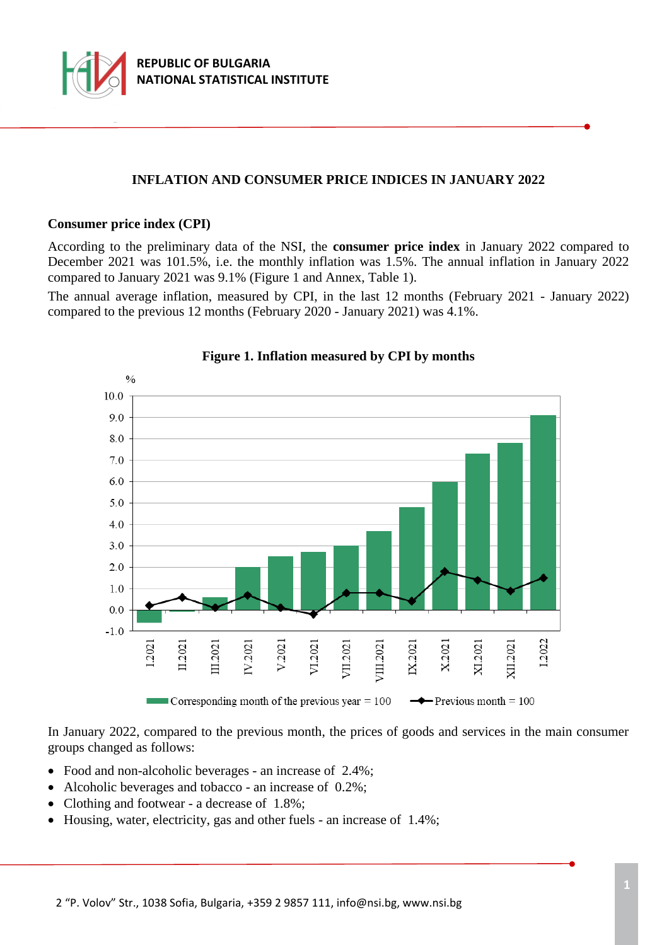

# **INFLATION AND CONSUMER PRICE INDICES IN JANUARY 2022**

#### **Consumer price index (CPI)**

According to the preliminary data of the NSI, the **consumer price index** in January 2022 compared to December 2021 was 101.5%, i.e. the monthly inflation was 1.5%. The annual inflation in January 2022 compared to January 2021 was 9.1% (Figure 1 and Annex, Table 1).

The annual average inflation, measured by CPI, in the last 12 months (February 2021 - January 2022) compared to the previous 12 months (February 2020 - January 2021) was 4.1%.



### **Figure 1. Inflation measured by CPI by months**

In January 2022, compared to the previous month, the prices of goods and services in the main consumer groups changed as follows:

- Food and non-alcoholic beverages an increase of 2.4%;
- Alcoholic beverages and tobacco an increase of 0.2%;
- Clothing and footwear a decrease of 1.8%;
- Housing, water, electricity, gas and other fuels an increase of 1.4%;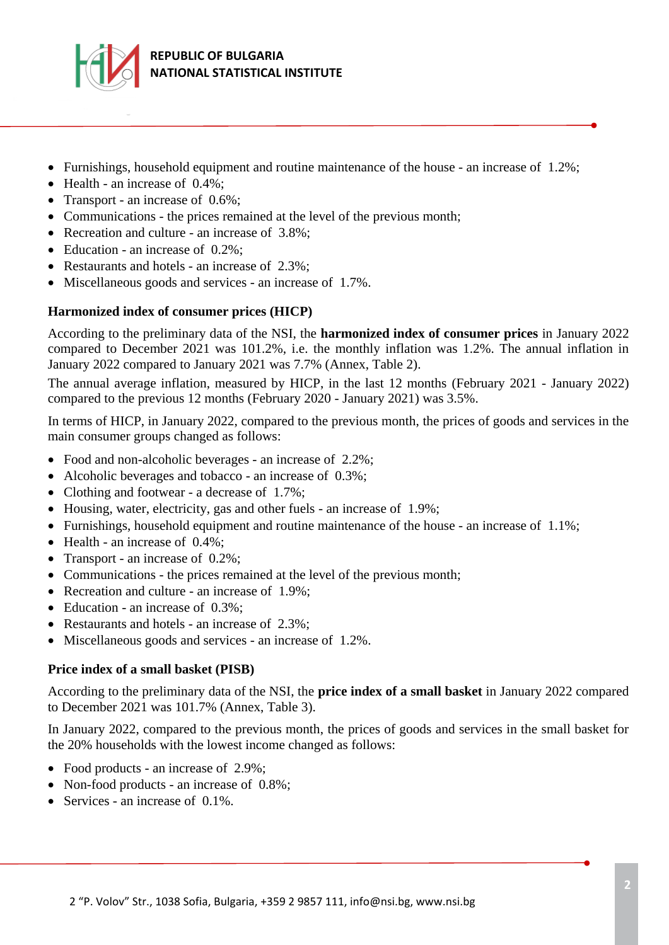

- Furnishings, household equipment and routine maintenance of the house an increase of  $1.2\%$ ;
- Health an increase of 0.4%;
- Transport an increase of 0.6%;
- Communications the prices remained at the level of the previous month;
- Recreation and culture an increase of 3.8%;
- Education an increase of 0.2%;
- Restaurants and hotels an increase of 2.3%;
- Miscellaneous goods and services an increase of 1.7%.

## **Harmonized index of consumer prices (HICP)**

According to the preliminary data of the NSI, the **harmonized index of consumer prices** in January 2022 compared to December 2021 was 101.2%, i.e. the monthly inflation was 1.2%. The annual inflation in January 2022 compared to January 2021 was 7.7% (Annex, Table 2).

The annual average inflation, measured by HICP, in the last 12 months (February 2021 - January 2022) compared to the previous 12 months (February 2020 - January 2021) was 3.5%.

In terms of HICP, in January 2022, compared to the previous month, the prices of goods and services in the main consumer groups changed as follows:

- Food and non-alcoholic beverages an increase of 2.2%;
- Alcoholic beverages and tobacco an increase of 0.3%;
- Clothing and footwear a decrease of 1.7%;
- Housing, water, electricity, gas and other fuels an increase of 1.9%;
- Furnishings, household equipment and routine maintenance of the house an increase of 1.1%;
- $\bullet$  Health an increase of 0.4%;
- Transport an increase of 0.2%;
- Communications the prices remained at the level of the previous month;
- Recreation and culture an increase of 1.9%;
- Education an increase of 0.3%;
- Restaurants and hotels an increase of 2.3%;
- Miscellaneous goods and services an increase of 1.2%.

## **Price index of a small basket (PISB)**

According to the preliminary data of the NSI, the **price index of a small basket** in January 2022 compared to December 2021 was 101.7% (Annex, Table 3).

In January 2022, compared to the previous month, the prices of goods and services in the small basket for the 20% households with the lowest income changed as follows:

- Food products an increase of 2.9%;
- Non-food products an increase of 0.8%;
- Services an increase of 0.1%.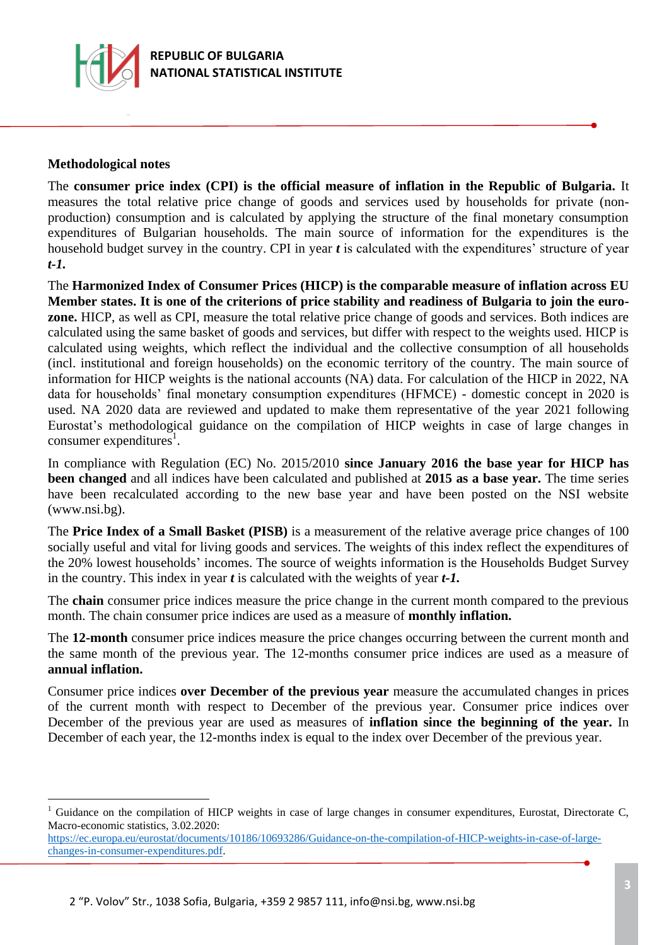

## **Methodological notes**

i<br>L

The **consumer price index (CPI) is the official measure of inflation in the Republic of Bulgaria.** It measures the total relative price change of goods and services used by households for private (nonproduction) consumption and is calculated by applying the structure of the final monetary consumption expenditures of Bulgarian households. The main source of information for the expenditures is the household budget survey in the country. CPI in year *t* is calculated with the expenditures' structure of year *t-1.*

The **Harmonized Index of Consumer Prices (HICP) is the comparable measure of inflation across EU Member states. It is one of the criterions of price stability and readiness of Bulgaria to join the eurozone.** HICP, as well as CPI, measure the total relative price change of goods and services. Both indices are calculated using the same basket of goods and services, but differ with respect to the weights used. HICP is calculated using weights, which reflect the individual and the collective consumption of all households (incl. institutional and foreign households) on the economic territory of the country. The main source of information for HICP weights is the national accounts (NA) data. For calculation of the HICP in 2022, NA data for households' final monetary consumption expenditures (HFMCE) - domestic concept in 2020 is used. NA 2020 data are reviewed and updated to make them representative of the year 2021 following Eurostat's methodological guidance on the compilation of HICP weights in case of large changes in consumer expenditures<sup>1</sup>.

In compliance with Regulation (EC) No. 2015/2010 **since January 2016 the base year for HICP has been changed** and all indices have been calculated and published at **2015 as a base year.** The time series have been recalculated according to the new base year and have been posted on the NSI website (www.nsi.bg).

The **Price Index of a Small Basket (PISB)** is a measurement of the relative average price changes of 100 socially useful and vital for living goods and services. The weights of this index reflect the expenditures of the 20% lowest households' incomes. The source of weights information is the Households Budget Survey in the country. This index in year *t* is calculated with the weights of year *t-1.*

The **chain** consumer price indices measure the price change in the current month compared to the previous month. The chain consumer price indices are used as a measure of **monthly inflation.**

The **12-month** consumer price indices measure the price changes occurring between the current month and the same month of the previous year. The 12-months consumer price indices are used as a measure of **annual inflation.**

Consumer price indices **over December of the previous year** measure the accumulated changes in prices of the current month with respect to December of the previous year. Consumer price indices over December of the previous year are used as measures of **inflation since the beginning of the year.** In December of each year, the 12-months index is equal to the index over December of the previous year.

Guidance on the compilation of HICP weights in case of large changes in consumer expenditures, Eurostat, Directorate C, Macro-economic statistics, 3.02.2020:

[https://ec.europa.eu/eurostat/documents/10186/10693286/Guidance-on-the-compilation-of-HICP-weights-in-case-of-large](https://ec.europa.eu/eurostat/documents/10186/10693286/Guidance-on-the-compilation-of-HICP-weights-in-case-of-large-changes-in-consumer-expenditures.pdf)[changes-in-consumer-expenditures.pdf.](https://ec.europa.eu/eurostat/documents/10186/10693286/Guidance-on-the-compilation-of-HICP-weights-in-case-of-large-changes-in-consumer-expenditures.pdf)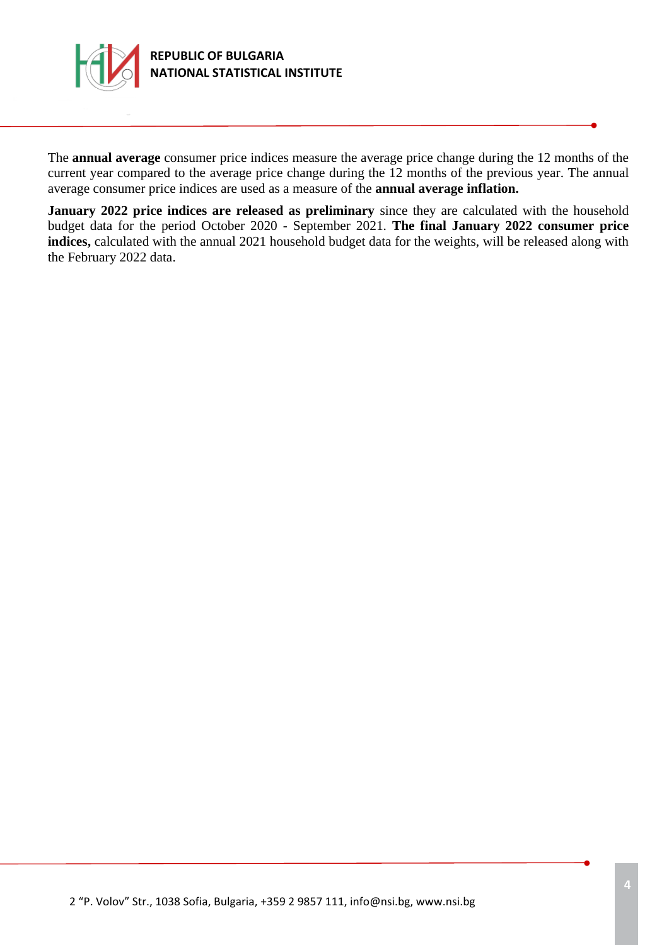

The **annual average** consumer price indices measure the average price change during the 12 months of the current year compared to the average price change during the 12 months of the previous year. The annual average consumer price indices are used as a measure of the **annual average inflation.**

**January 2022 price indices are released as preliminary** since they are calculated with the household budget data for the period October 2020 - September 2021. **The final January 2022 consumer price indices**, calculated with the annual 2021 household budget data for the weights, will be released along with the February 2022 data.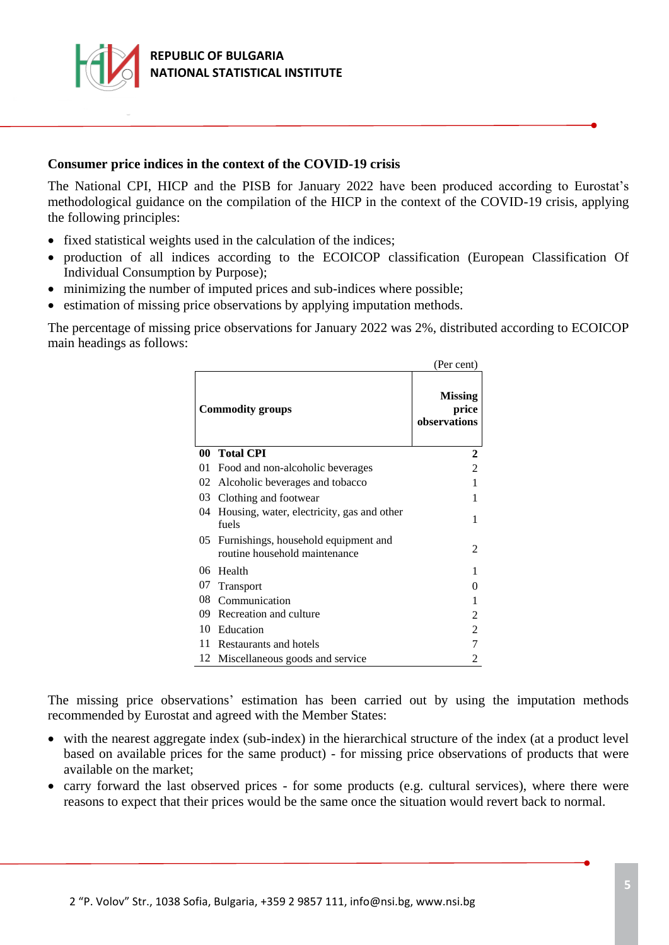

### **Consumer price indices in the context of the COVID-19 crisis**

The National CPI, HICP and the PISB for January 2022 have been produced according to Eurostat's methodological guidance on the compilation of the HICP in the context of the COVID-19 crisis, applying the following principles:

- fixed statistical weights used in the calculation of the indices;
- production of all indices according to the ECOICOP classification (European Classification Of Individual Consumption by Purpose);
- minimizing the number of imputed prices and sub-indices where possible;
- estimation of missing price observations by applying imputation methods.

The percentage of missing price observations for January 2022 was 2%, distributed according to ECOICOP main headings as follows:

|                         |                                                                       | (Per cent)                              |
|-------------------------|-----------------------------------------------------------------------|-----------------------------------------|
| <b>Commodity groups</b> |                                                                       | <b>Missing</b><br>price<br>observations |
| 00                      | <b>Total CPI</b>                                                      | 2                                       |
| 01                      | Food and non-alcoholic beverages                                      | $\overline{2}$                          |
| 02                      | Alcoholic beverages and tobacco                                       |                                         |
| 03                      | Clothing and footwear                                                 |                                         |
| 04                      | Housing, water, electricity, gas and other<br>fuels                   |                                         |
| 05.                     | Furnishings, household equipment and<br>routine household maintenance | 2                                       |
| 06                      | Health                                                                |                                         |
| 07                      | <b>Transport</b>                                                      | 0                                       |
| 08                      | Communication                                                         |                                         |
| 09                      | Recreation and culture                                                | 2                                       |
| 10                      | Education                                                             | $\overline{2}$                          |
| 11                      | Restaurants and hotels                                                | 7                                       |
| 12                      | Miscellaneous goods and service                                       | 2                                       |

The missing price observations' estimation has been carried out by using the imputation methods recommended by Eurostat and agreed with the Member States:

- with the nearest aggregate index (sub-index) in the hierarchical structure of the index (at a product level based on available prices for the same product) - for missing price observations of products that were available on the market;
- carry forward the last observed prices for some products (e.g. cultural services), where there were reasons to expect that their prices would be the same once the situation would revert back to normal.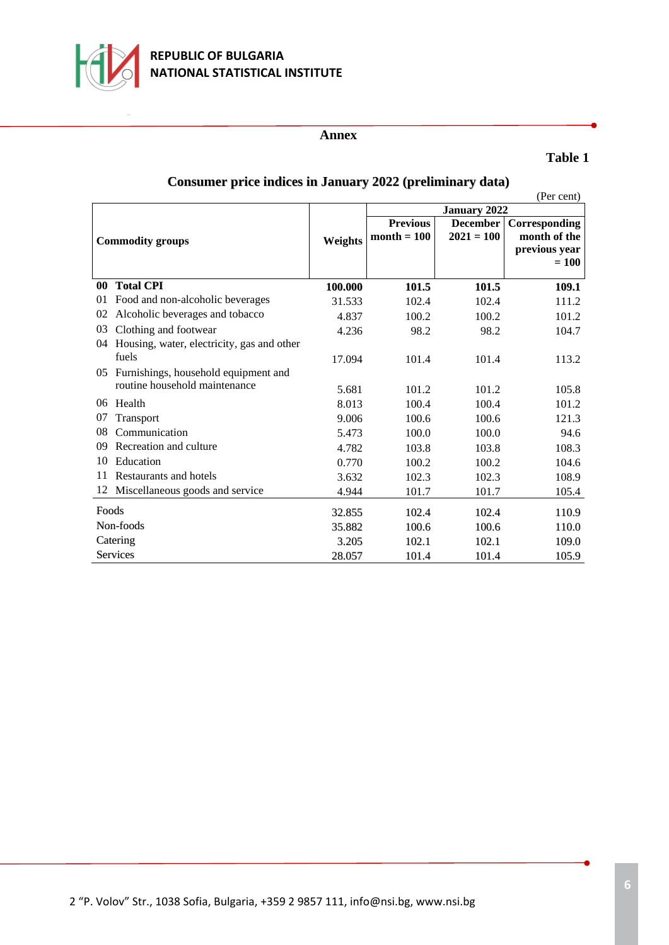

#### **Annex**

## **Table 1**

|                         |                                            |         |                                  |                                 | (Per cent)                                                |
|-------------------------|--------------------------------------------|---------|----------------------------------|---------------------------------|-----------------------------------------------------------|
|                         |                                            |         | January 2022                     |                                 |                                                           |
| <b>Commodity groups</b> |                                            | Weights | <b>Previous</b><br>$month = 100$ | <b>December</b><br>$2021 = 100$ | Corresponding<br>month of the<br>previous year<br>$= 100$ |
| 00 <sup>°</sup>         | <b>Total CPI</b>                           | 100.000 | 101.5                            | 101.5                           | 109.1                                                     |
| 01                      | Food and non-alcoholic beverages           | 31.533  | 102.4                            | 102.4                           | 111.2                                                     |
| 02                      | Alcoholic beverages and tobacco            | 4.837   | 100.2                            | 100.2                           | 101.2                                                     |
| 03                      | Clothing and footwear                      | 4.236   | 98.2                             | 98.2                            | 104.7                                                     |
| 04                      | Housing, water, electricity, gas and other |         |                                  |                                 |                                                           |
|                         | fuels                                      | 17.094  | 101.4                            | 101.4                           | 113.2                                                     |
| 05                      | Furnishings, household equipment and       |         |                                  |                                 |                                                           |
|                         | routine household maintenance              | 5.681   | 101.2                            | 101.2                           | 105.8                                                     |
| $06^{\circ}$            | Health                                     | 8.013   | 100.4                            | 100.4                           | 101.2                                                     |
| 07                      | Transport                                  | 9.006   | 100.6                            | 100.6                           | 121.3                                                     |
| 08                      | Communication                              | 5.473   | 100.0                            | 100.0                           | 94.6                                                      |
| 09                      | Recreation and culture                     | 4.782   | 103.8                            | 103.8                           | 108.3                                                     |
| 10                      | Education                                  | 0.770   | 100.2                            | 100.2                           | 104.6                                                     |
| 11                      | Restaurants and hotels                     | 3.632   | 102.3                            | 102.3                           | 108.9                                                     |
| 12                      | Miscellaneous goods and service            | 4.944   | 101.7                            | 101.7                           | 105.4                                                     |
| Foods                   |                                            | 32.855  | 102.4                            | 102.4                           | 110.9                                                     |
| Non-foods               |                                            | 35.882  | 100.6                            | 100.6                           | 110.0                                                     |
| Catering                |                                            | 3.205   | 102.1                            | 102.1                           | 109.0                                                     |
| <b>Services</b>         |                                            | 28.057  | 101.4                            | 101.4                           | 105.9                                                     |

# **Consumer price indices in January 2022 (preliminary data)**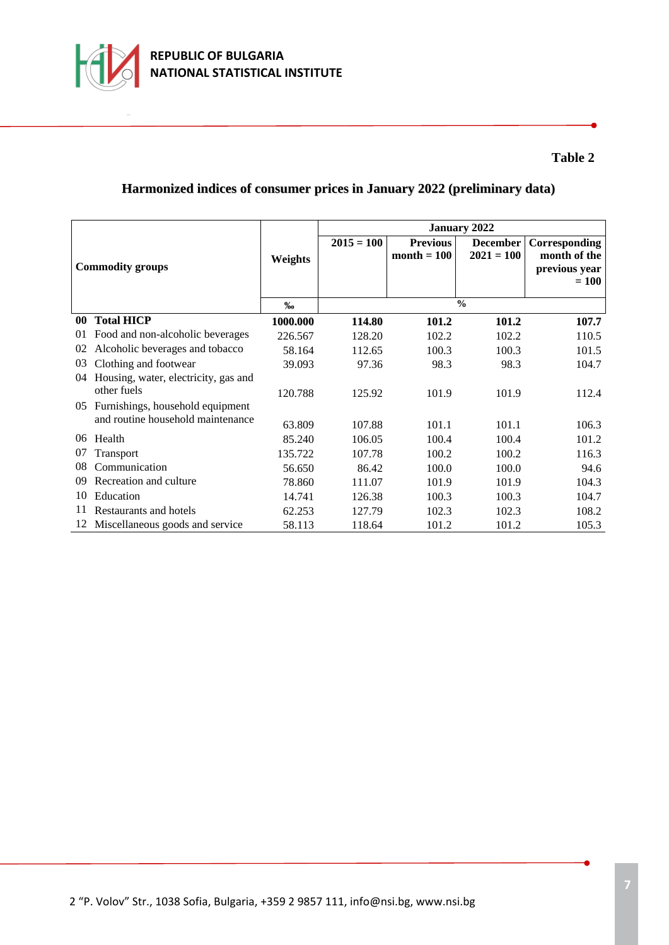

## **Table 2**

# **Harmonized indices of consumer prices in January 2022 (preliminary data)**

|                         |                                      |          | <b>January 2022</b> |                                  |                                 |                                                           |
|-------------------------|--------------------------------------|----------|---------------------|----------------------------------|---------------------------------|-----------------------------------------------------------|
| <b>Commodity groups</b> |                                      | Weights  | $2015 = 100$        | <b>Previous</b><br>month $= 100$ | <b>December</b><br>$2021 = 100$ | Corresponding<br>month of the<br>previous year<br>$= 100$ |
|                         |                                      |          |                     |                                  |                                 |                                                           |
|                         |                                      | %        | $\frac{0}{0}$       |                                  |                                 |                                                           |
| 00                      | <b>Total HICP</b>                    | 1000.000 | 114.80              | 101.2                            | 101.2                           | 107.7                                                     |
| 01                      | Food and non-alcoholic beverages     | 226.567  | 128.20              | 102.2                            | 102.2                           | 110.5                                                     |
| 02                      | Alcoholic beverages and tobacco      | 58.164   | 112.65              | 100.3                            | 100.3                           | 101.5                                                     |
| 03                      | Clothing and footwear                | 39.093   | 97.36               | 98.3                             | 98.3                            | 104.7                                                     |
| 04                      | Housing, water, electricity, gas and |          |                     |                                  |                                 |                                                           |
|                         | other fuels                          | 120.788  | 125.92              | 101.9                            | 101.9                           | 112.4                                                     |
| 05                      | Furnishings, household equipment     |          |                     |                                  |                                 |                                                           |
|                         | and routine household maintenance    | 63.809   | 107.88              | 101.1                            | 101.1                           | 106.3                                                     |
| 06                      | Health                               | 85.240   | 106.05              | 100.4                            | 100.4                           | 101.2                                                     |
| 07                      | Transport                            | 135.722  | 107.78              | 100.2                            | 100.2                           | 116.3                                                     |
| 08                      | Communication                        | 56.650   | 86.42               | 100.0                            | 100.0                           | 94.6                                                      |
| 09                      | Recreation and culture               | 78.860   | 111.07              | 101.9                            | 101.9                           | 104.3                                                     |
| 10                      | Education                            | 14.741   | 126.38              | 100.3                            | 100.3                           | 104.7                                                     |
| 11                      | Restaurants and hotels               | 62.253   | 127.79              | 102.3                            | 102.3                           | 108.2                                                     |
|                         | 12 Miscellaneous goods and service   | 58.113   | 118.64              | 101.2                            | 101.2                           | 105.3                                                     |